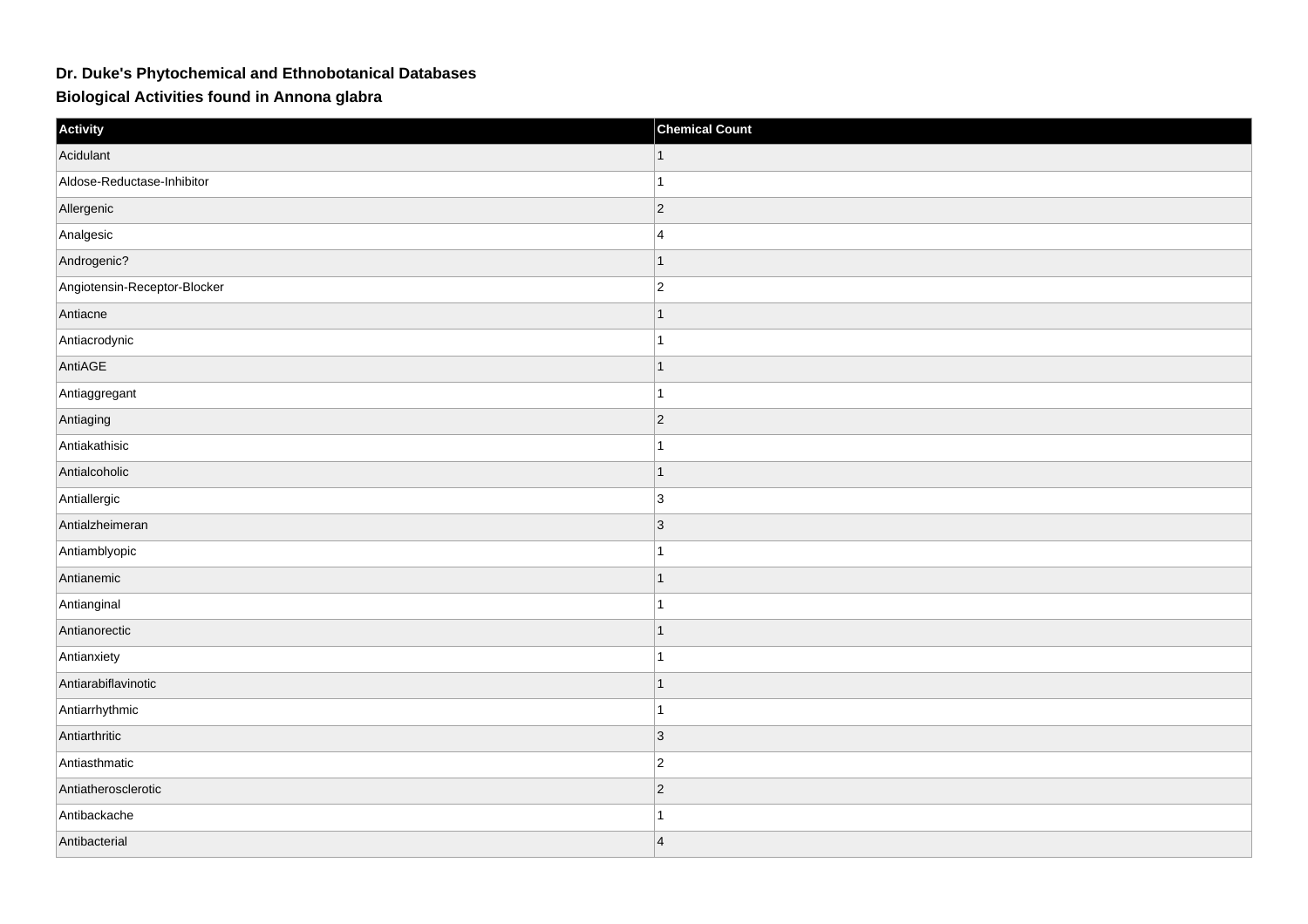## **Dr. Duke's Phytochemical and Ethnobotanical Databases**

**Biological Activities found in Annona glabra**

| Activity                     | <b>Chemical Count</b> |
|------------------------------|-----------------------|
| Acidulant                    |                       |
| Aldose-Reductase-Inhibitor   | 1                     |
| Allergenic                   | $ 2\rangle$           |
| Analgesic                    | $\overline{4}$        |
| Androgenic?                  | $\mathbf{1}$          |
| Angiotensin-Receptor-Blocker | $ 2\rangle$           |
| Antiacne                     | $\mathbf 1$           |
| Antiacrodynic                |                       |
| AntiAGE                      | $\mathbf{1}$          |
| Antiaggregant                | $\overline{1}$        |
| Antiaging                    | $\overline{2}$        |
| Antiakathisic                | 1                     |
| Antialcoholic                | $\mathbf 1$           |
| Antiallergic                 | 3                     |
| Antialzheimeran              | 3                     |
| Antiamblyopic                | $\overline{1}$        |
| Antianemic                   | $\mathbf{1}$          |
| Antianginal                  |                       |
| Antianorectic                | $\overline{1}$        |
| Antianxiety                  |                       |
| Antiarabiflavinotic          | $\overline{ }$        |
| Antiarrhythmic               | $\overline{1}$        |
| Antiarthritic                | $\vert$ 3             |
| Antiasthmatic                | $\overline{2}$        |
| Antiatherosclerotic          | $\overline{2}$        |
| Antibackache                 |                       |
| Antibacterial                | $\vert$ 4             |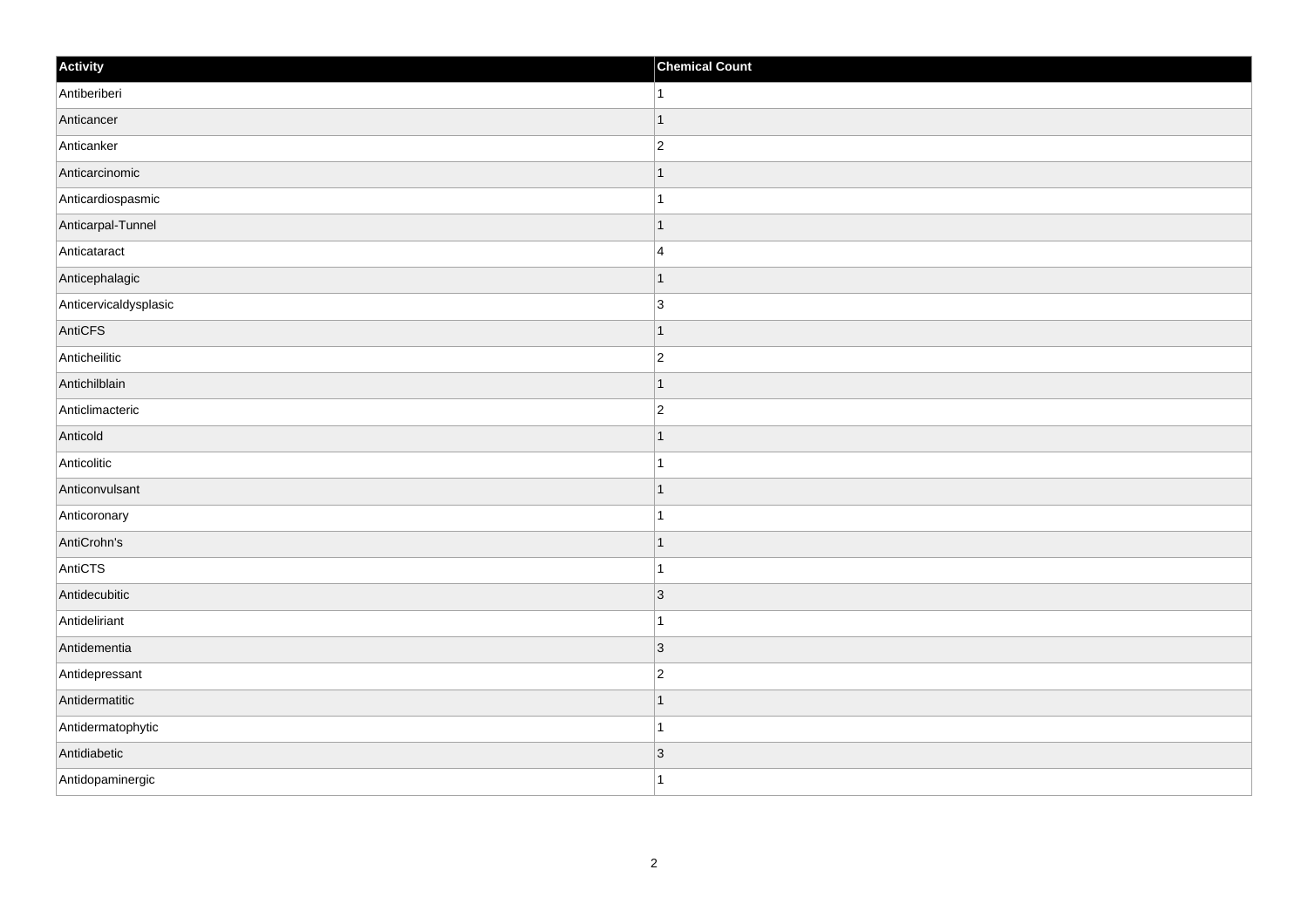| Activity              | <b>Chemical Count</b>    |
|-----------------------|--------------------------|
| Antiberiberi          | 1.                       |
| Anticancer            |                          |
| Anticanker            | $\overline{c}$           |
| Anticarcinomic        | $\overline{\phantom{a}}$ |
| Anticardiospasmic     | 1                        |
| Anticarpal-Tunnel     |                          |
| Anticataract          | 4                        |
| Anticephalagic        |                          |
| Anticervicaldysplasic | $\overline{3}$           |
| AntiCFS               | 1                        |
| Anticheilitic         | $\overline{2}$           |
| Antichilblain         |                          |
| Anticlimacteric       | $\overline{c}$           |
| Anticold              |                          |
| Anticolitic           |                          |
| Anticonvulsant        | 1                        |
| Anticoronary          | 1                        |
| AntiCrohn's           |                          |
| AntiCTS               |                          |
| Antidecubitic         | $\vert$ 3                |
| Antideliriant         |                          |
| Antidementia          | $\vert 3 \vert$          |
| Antidepressant        | $\overline{2}$           |
| Antidermatitic        |                          |
| Antidermatophytic     | $\overline{\phantom{a}}$ |
| Antidiabetic          | $\vert 3 \vert$          |
| Antidopaminergic      | 1                        |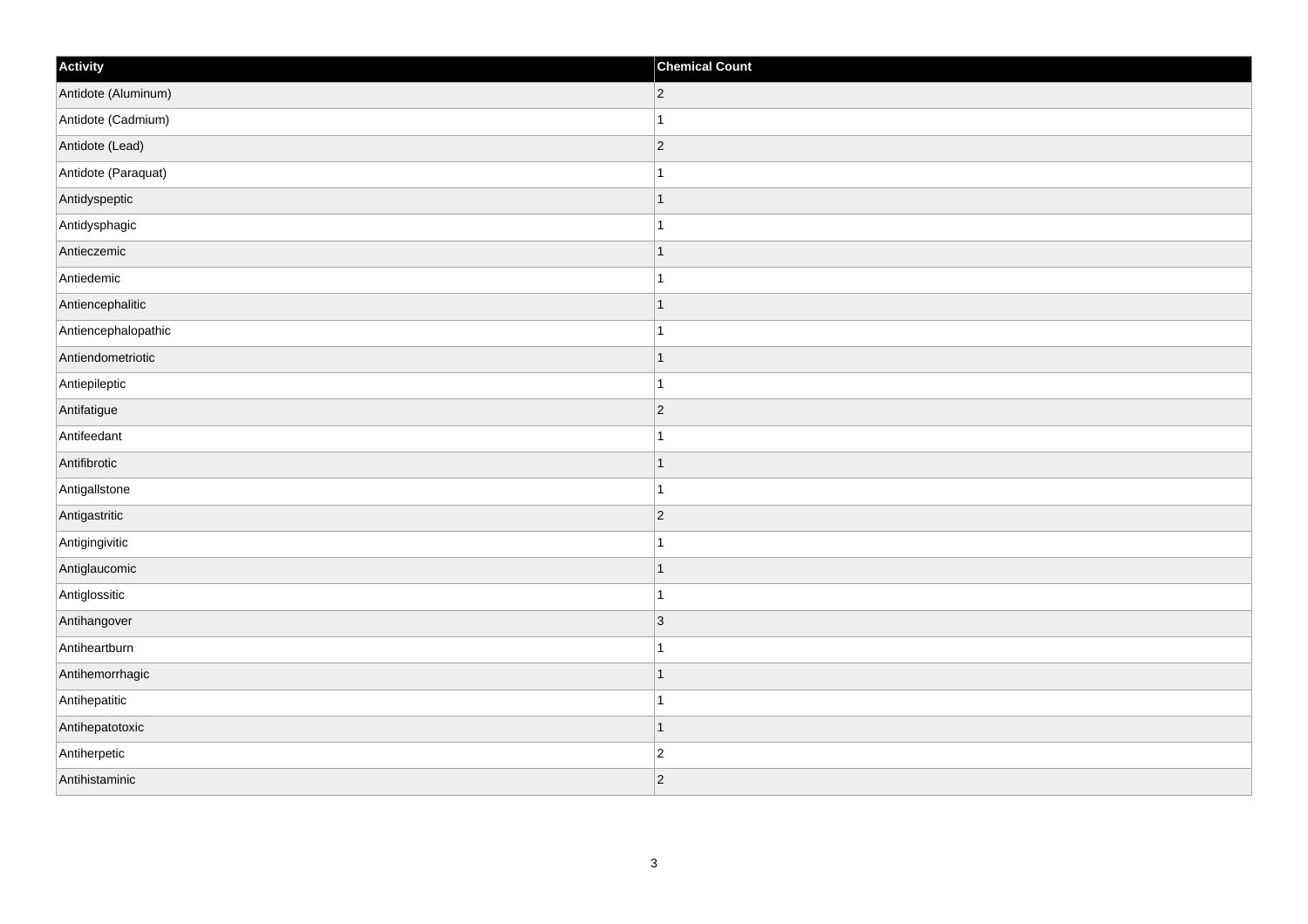| Activity            | <b>Chemical Count</b> |
|---------------------|-----------------------|
| Antidote (Aluminum) | $ 2\rangle$           |
| Antidote (Cadmium)  | $\mathbf{1}$          |
| Antidote (Lead)     | $ 2\rangle$           |
| Antidote (Paraquat) | $\mathbf{1}$          |
| Antidyspeptic       | $\mathbf{1}$          |
| Antidysphagic       | $\mathbf 1$           |
| Antieczemic         | $\vert$ 1             |
| Antiedemic          | $\mathbf{1}$          |
| Antiencephalitic    | $\mathbf{1}$          |
| Antiencephalopathic | $\mathbf{1}$          |
| Antiendometriotic   | $\mathbf{1}$          |
| Antiepileptic       | $\mathbf{1}$          |
| Antifatigue         | $ 2\rangle$           |
| Antifeedant         | $\mathbf{1}$          |
| Antifibrotic        | $\vert$ 1             |
| Antigallstone       | $\mathbf{1}$          |
| Antigastritic       | $\overline{2}$        |
| Antigingivitic      | $\mathbf{1}$          |
| Antiglaucomic       | $\vert$ 1             |
| Antiglossitic       | $\mathbf{1}$          |
| Antihangover        | $ 3\rangle$           |
| Antiheartburn       | $\vert$ 1             |
| Antihemorrhagic     | $\vert$ 1             |
| Antihepatitic       | $\mathbf{1}$          |
| Antihepatotoxic     | $\vert$ 1             |
| Antiherpetic        | $\vert$ 2             |
| Antihistaminic      | $ 2\rangle$           |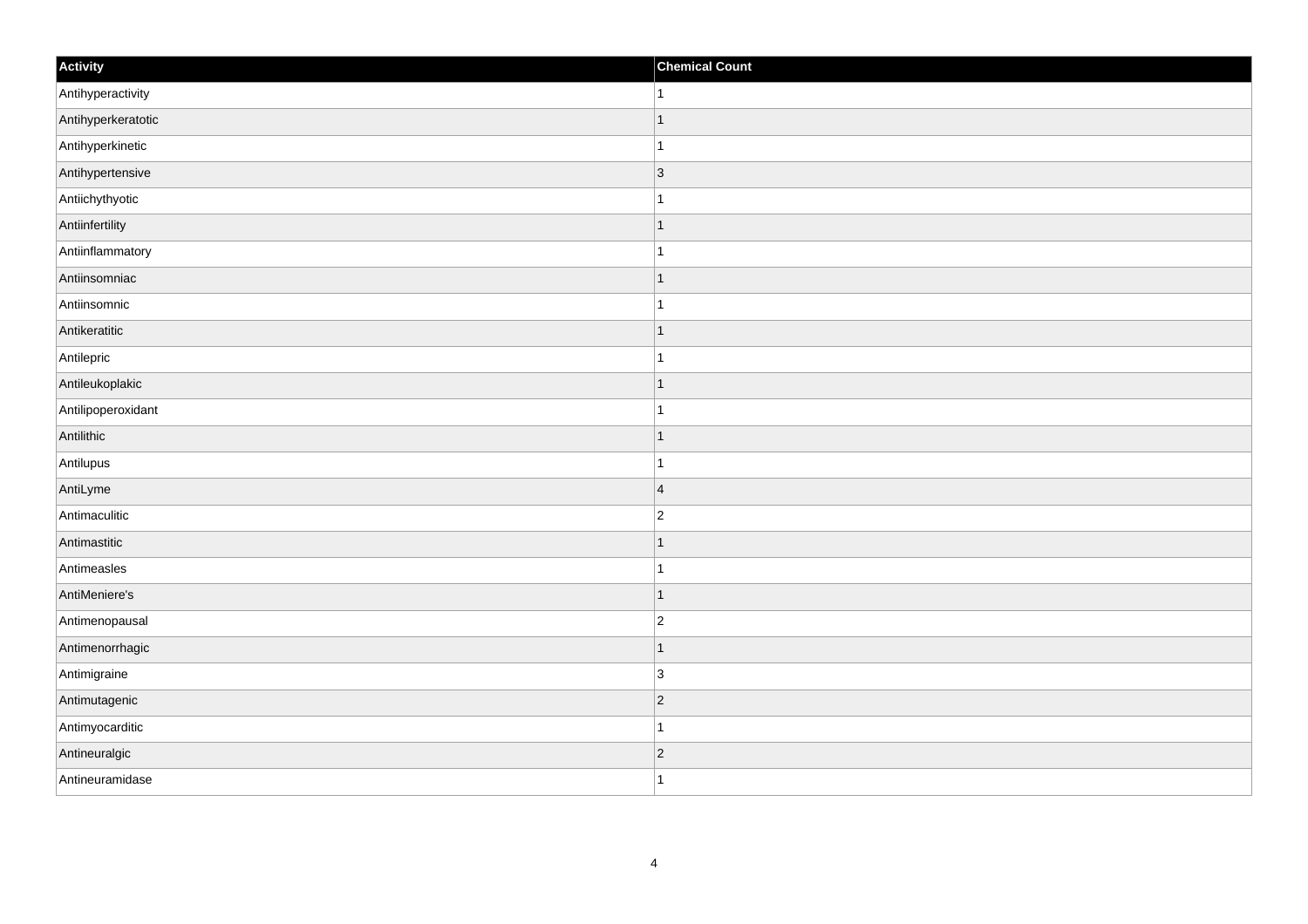| Activity           | <b>Chemical Count</b> |
|--------------------|-----------------------|
| Antihyperactivity  | $\vert$ 1             |
| Antihyperkeratotic | $\mathbf{1}$          |
| Antihyperkinetic   | $\mathbf{1}$          |
| Antihypertensive   | $ 3\rangle$           |
| Antiichythyotic    | $\mathbf{1}$          |
| Antiinfertility    | $\mathbf{1}$          |
| Antiinflammatory   | $\mathbf{1}$          |
| Antiinsomniac      | $\mathbf{1}$          |
| Antiinsomnic       | $\overline{1}$        |
| Antikeratitic      | $\vert$ 1             |
| Antilepric         | $\vert$ 1             |
| Antileukoplakic    | $\vert$ 1             |
| Antilipoperoxidant | $\mathbf{1}$          |
| Antilithic         | $\vert$ 1             |
| Antilupus          | $\mathbf{1}$          |
| AntiLyme           | $\vert$ 4             |
| Antimaculitic      | $\overline{2}$        |
| Antimastitic       | $\vert$ 1             |
| Antimeasles        | $\vert$ 1             |
| AntiMeniere's      | $\vert$ 1             |
| Antimenopausal     | $ 2\rangle$           |
| Antimenorrhagic    | $\vert$ 1             |
| Antimigraine       | $\vert 3 \vert$       |
| Antimutagenic      | $\vert$ 2             |
| Antimyocarditic    | $\vert$ 1             |
| Antineuralgic      | $\vert$ 2             |
| Antineuramidase    | $\vert$ 1             |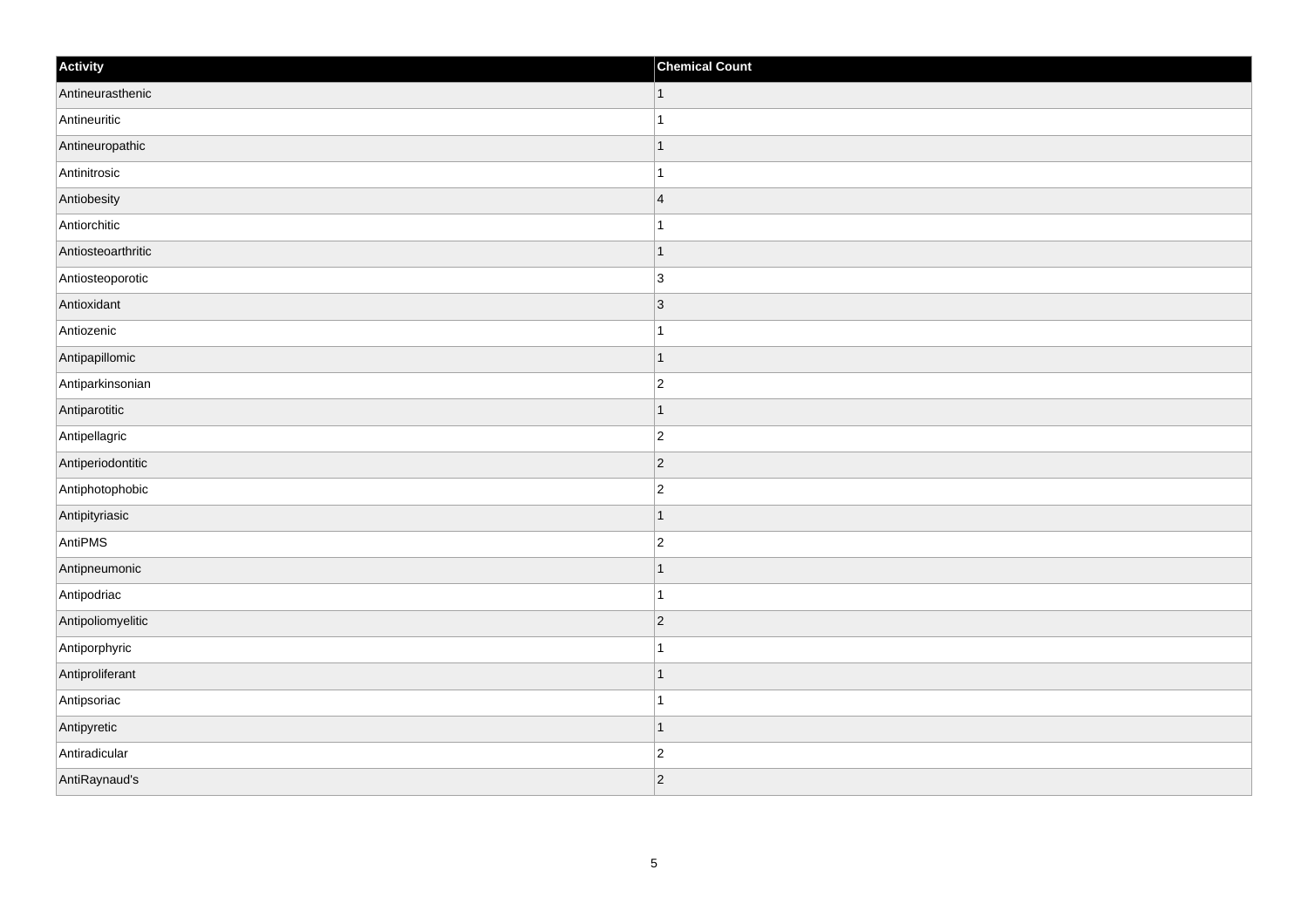| Activity           | <b>Chemical Count</b> |
|--------------------|-----------------------|
| Antineurasthenic   | $\vert$ 1             |
| Antineuritic       | $\mathbf{1}$          |
| Antineuropathic    | $\mathbf 1$           |
| Antinitrosic       | $\mathbf 1$           |
| Antiobesity        | $\overline{4}$        |
| Antiorchitic       |                       |
| Antiosteoarthritic | $\vert$ 1             |
| Antiosteoporotic   | $\overline{3}$        |
| Antioxidant        | 3                     |
| Antiozenic         | $\mathbf{1}$          |
| Antipapillomic     | $\mathbf 1$           |
| Antiparkinsonian   | $\overline{c}$        |
| Antiparotitic      | $\vert$ 1             |
| Antipellagric      | $\overline{c}$        |
| Antiperiodontitic  | $ 2\rangle$           |
| Antiphotophobic    | $ 2\rangle$           |
| Antipityriasic     | $\mathbf 1$           |
| AntiPMS            | $\overline{c}$        |
| Antipneumonic      | $\vert$ 1             |
| Antipodriac        | $\mathbf{1}$          |
| Antipoliomyelitic  | $ 2\rangle$           |
| Antiporphyric      | $\mathbf{1}$          |
| Antiproliferant    | $\vert$ 1             |
| Antipsoriac        | $\mathbf 1$           |
| Antipyretic        | $\mathbf{1}$          |
| Antiradicular      | $\overline{c}$        |
| AntiRaynaud's      | $ 2\rangle$           |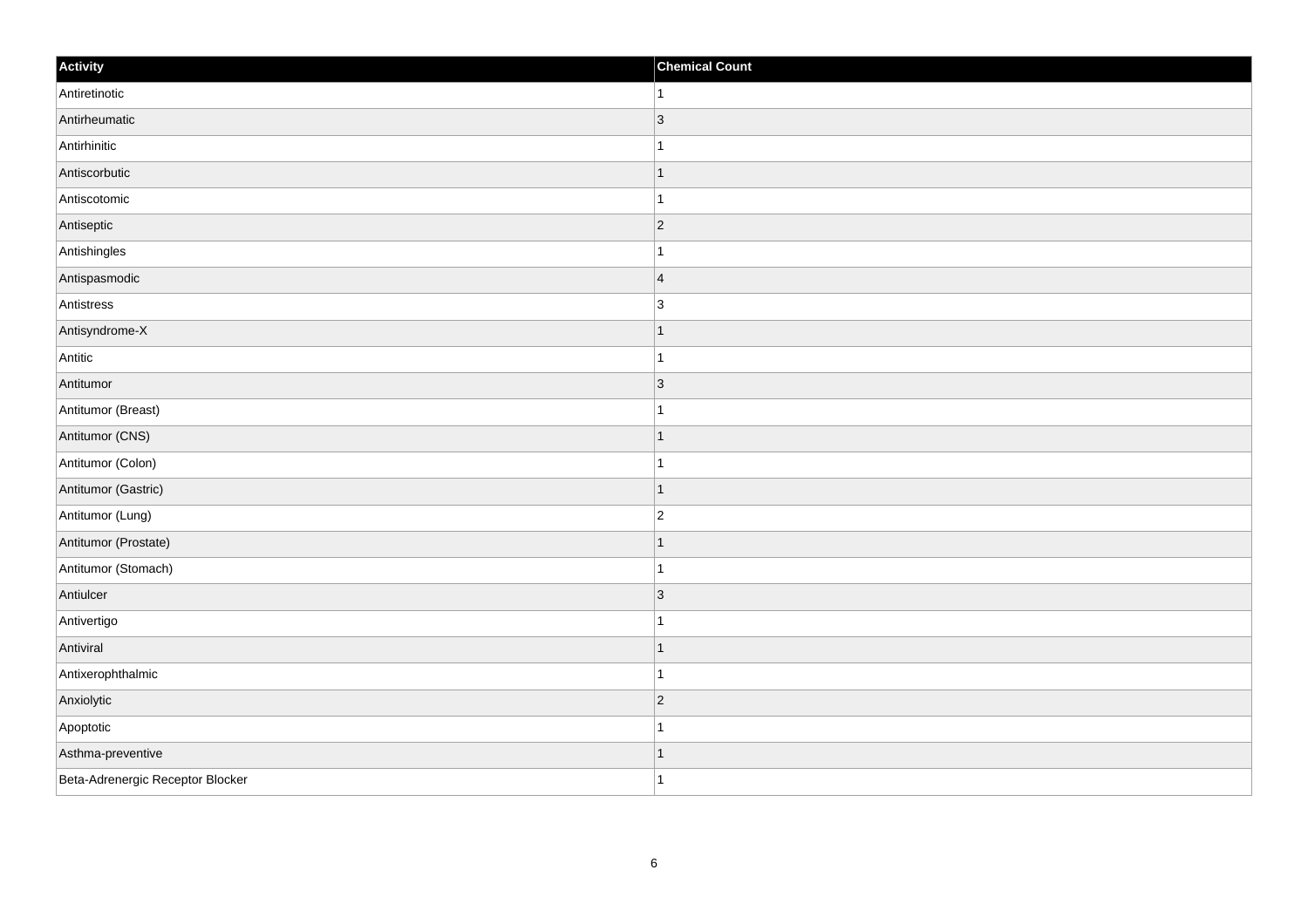| Activity                         | <b>Chemical Count</b> |
|----------------------------------|-----------------------|
| Antiretinotic                    | $\overline{1}$        |
| Antirheumatic                    | $\vert 3 \vert$       |
| Antirhinitic                     |                       |
| Antiscorbutic                    | 1                     |
| Antiscotomic                     | -1                    |
| Antiseptic                       | $\vert$ 2             |
| Antishingles                     |                       |
| Antispasmodic                    | $\overline{4}$        |
| Antistress                       | 3                     |
| Antisyndrome-X                   | 1                     |
| Antitic                          | 1                     |
| Antitumor                        | $\vert 3 \vert$       |
| Antitumor (Breast)               |                       |
| Antitumor (CNS)                  |                       |
| Antitumor (Colon)                |                       |
| Antitumor (Gastric)              | ∣ 1                   |
| Antitumor (Lung)                 | $\overline{c}$        |
| Antitumor (Prostate)             |                       |
| Antitumor (Stomach)              |                       |
| Antiulcer                        | $\overline{3}$        |
| Antivertigo                      |                       |
| Antiviral                        | 1                     |
| Antixerophthalmic                | $\mathbf{1}$          |
| Anxiolytic                       | $\vert$ 2             |
| Apoptotic                        |                       |
| Asthma-preventive                |                       |
| Beta-Adrenergic Receptor Blocker |                       |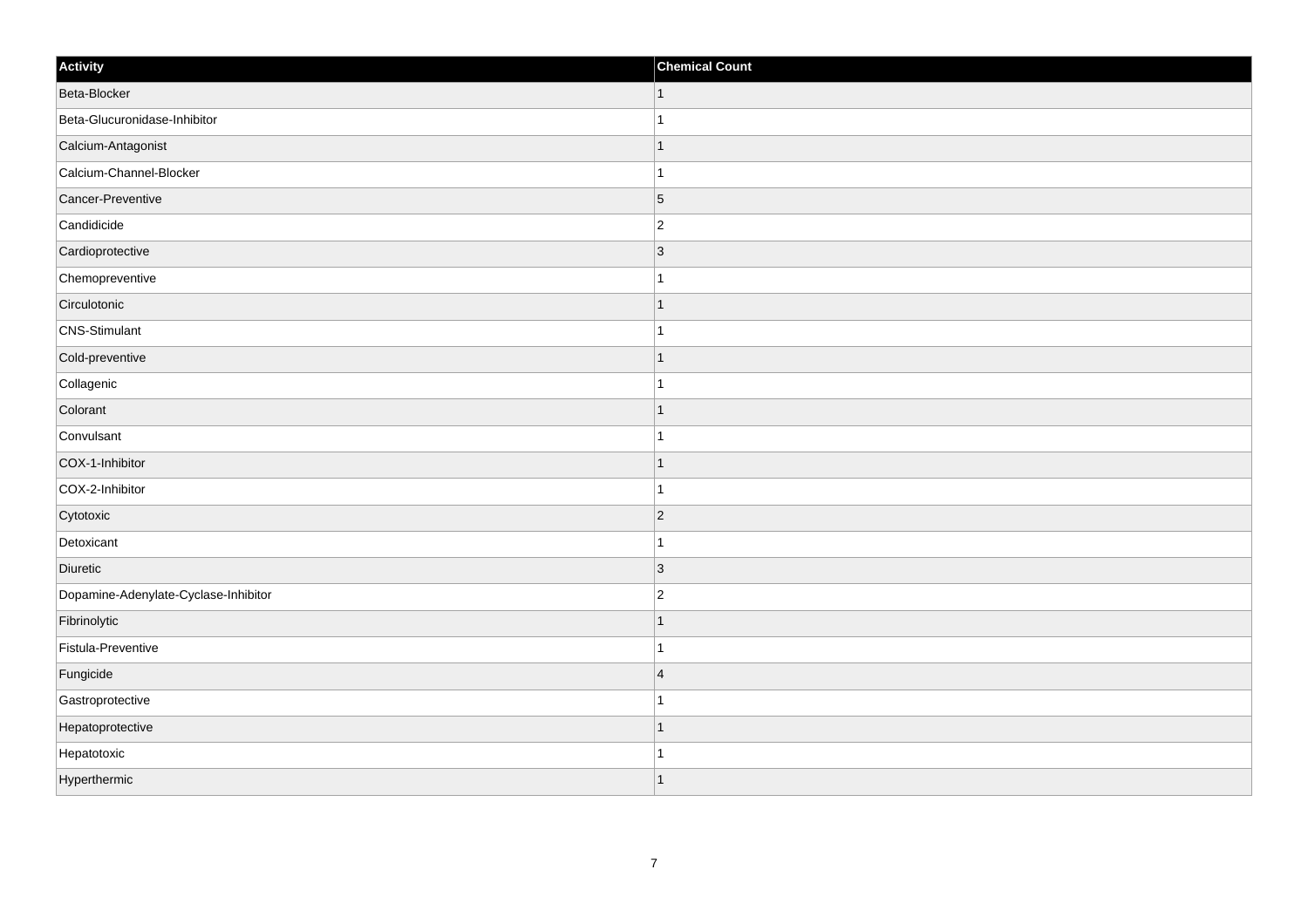| Activity                             | <b>Chemical Count</b> |
|--------------------------------------|-----------------------|
| Beta-Blocker                         | $\vert$ 1             |
| Beta-Glucuronidase-Inhibitor         | $\mathbf{1}$          |
| Calcium-Antagonist                   | $\mathbf{1}$          |
| Calcium-Channel-Blocker              | $\mathbf{1}$          |
| Cancer-Preventive                    | $\overline{5}$        |
| Candidicide                          | $\vert$ 2             |
| Cardioprotective                     | $ 3\rangle$           |
| Chemopreventive                      | $\mathbf{1}$          |
| Circulotonic                         | $\mathbf{1}$          |
| <b>CNS-Stimulant</b>                 | $\mathbf{1}$          |
| Cold-preventive                      | $\mathbf{1}$          |
| Collagenic                           | $\mathbf{1}$          |
| Colorant                             | $\vert$ 1             |
| Convulsant                           | $\mathbf{1}$          |
| COX-1-Inhibitor                      | $\mathbf{1}$          |
| COX-2-Inhibitor                      | $\mathbf{1}$          |
| Cytotoxic                            | $\overline{2}$        |
| Detoxicant                           | $\mathbf{1}$          |
| Diuretic                             | $ 3\rangle$           |
| Dopamine-Adenylate-Cyclase-Inhibitor | $ 2\rangle$           |
| Fibrinolytic                         | $\mathbf{1}$          |
| Fistula-Preventive                   | $\mathbf{1}$          |
| Fungicide                            | 4                     |
| Gastroprotective                     | $\overline{1}$        |
| Hepatoprotective                     | $\mathbf{1}$          |
| Hepatotoxic                          | $\mathbf{1}$          |
| Hyperthermic                         | $\vert$ 1             |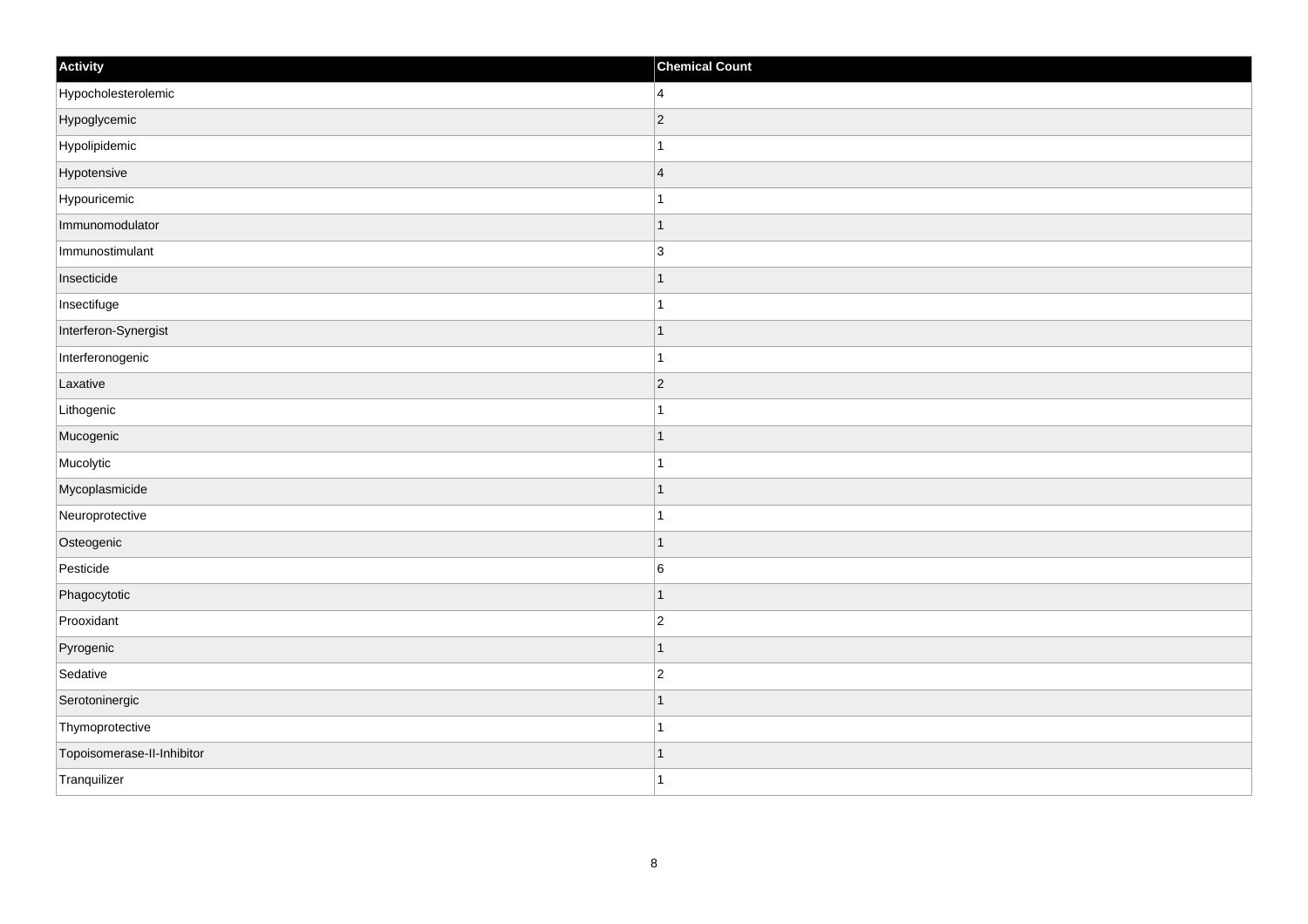| Activity                   | <b>Chemical Count</b> |
|----------------------------|-----------------------|
| Hypocholesterolemic        | $\overline{4}$        |
| Hypoglycemic               | $ 2\rangle$           |
| Hypolipidemic              |                       |
| Hypotensive                | $\overline{4}$        |
| Hypouricemic               | $\mathbf{1}$          |
| Immunomodulator            | -1                    |
| Immunostimulant            | $\overline{3}$        |
| Insecticide                | $\mathbf 1$           |
| Insectifuge                |                       |
| Interferon-Synergist       | $\vert$ 1             |
| Interferonogenic           | $\vert$ 1             |
| Laxative                   | $ 2\rangle$           |
| Lithogenic                 | $\mathbf{1}$          |
| Mucogenic                  | 1                     |
| Mucolytic                  |                       |
| Mycoplasmicide             | $\mathbf 1$           |
| Neuroprotective            | $\mathbf{1}$          |
| Osteogenic                 | $\overline{1}$        |
| Pesticide                  | $\,6$                 |
| Phagocytotic               | 1                     |
| Prooxidant                 | $\overline{c}$        |
| Pyrogenic                  | $\vert$ 1             |
| Sedative                   | $\overline{c}$        |
| Serotoninergic             | $\mathbf 1$           |
| Thymoprotective            | 1                     |
| Topoisomerase-II-Inhibitor | 1                     |
| Tranquilizer               | $\mathbf{1}$          |